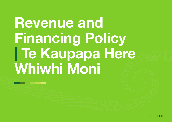# Revenue and Financing Policy | Te Kaupapa Here Whiwhi Moni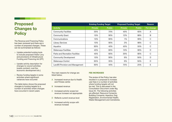## Proposed Changes to **Policy**

The Revenue and Financing Policy has been reviewed and there are a number of proposed changes. These can be summarised as follows:

- > Update potential funding tools to include proposed Visitor Levy and provisions of Infrastructure Funding and Financing Act (IFF)
- > Update activity description for changes to council activities (waste contract; rural fire; economic development etc.)
- > Review funding targets in some activities where significant variances have occurred

The table below shows the proposed changes to funding targets to a number of activities where changes have occurred in recent years:

|                                   |                | <b>Existing Funding Target</b> | <b>Proposed Funding Target</b> | Reason        |            |
|-----------------------------------|----------------|--------------------------------|--------------------------------|---------------|------------|
| <b>Activity</b>                   | <b>Private</b> | <b>Public</b>                  | <b>Private</b>                 | <b>Public</b> | For change |
| <b>Community Facilities</b>       | 30%            | 70%                            | 40%                            | 60%           | A          |
| <b>Community Grant</b>            | 10%            | 90%                            | 12%                            | 88%           | B          |
| Communications                    | 10%            | 90%                            | 1%                             | 99%           | С          |
| <b>Library Services</b>           | 10%            | 90%                            | 2%                             | 98%           | C          |
| Aquatics                          | 60%            | 40%                            | 45%                            | 55%           | C          |
| <b>Waterways Facilities</b>       | 40%            | 60%                            | 10%                            | 90%           | D          |
| Parks and Recreation Facilities   | 40%            | 60%                            | 20%                            | 80%           | С          |
| <b>Community Development</b>      | 10%            | 90%                            | 6%                             | 94%           | D          |
| Waterways Control                 | 65%            | 35%                            | 6%                             | 94%           | D          |
| Landfill Provision and Management | 60%            | 40%                            | 75%                            | 25%           | E          |

The main reasons for change are listed below:

- A Increased revenue due to Health and Fitness centre
- B Increased revenue
- C Increased activity scope but revenue increase not appropriate
- D Reflects current revenue level
- E Increased activity scope with revenue increase

#### FEE INCREASES

The review of the Policy has also resulted in a proposal to increase user fees in a number of activities where funding targets will not be met. This is discussed in the Consultation Document under Big Issue #4. The following activities are affected: Resource Consents; Building Consents; Aqautics; Dog Registration, Environmental Health; Waste Management and Cemeteries.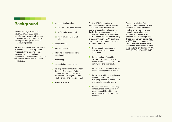### **Background**

Section 102(4) (a) of the Local Government Act 2002 requires each Council to adopt a Revenue and Financing Policy, which must be adopted through the special consultation process.

Section 103 outlines that this Policy must state the Council's policies in respect of the funding of both operating expenses and capital expenditure from listed sources, with the sources as outlined in section 103(2) being:

- A general rates including:
	- choice of valuation system;
	- ii differential rating; and
	- iii uniform annual general charges;
- **B** targeted rates;
- C fees and charges;
- **D** interests and dividends from investments;
- E borrowing;
- **F** proceeds from asset sales;
- **G** development contributions under the Local Government Act 2002; H financial contributions under the Resource Management Act 1991; I grants and subsidies; and
- **J** any other source.

Section 101(3) states that in identifying the appropriate sources the Council must consider the overall impact of any allocation of liability for revenue needs on the current and future social, economic, environmental, and cultural wellbeing of the community. The Council must also consider with regards to each activity to be funded:

- A the community outcomes to which the activity primarily contributes;
- **B** the distribution of benefits between the community as a whole, any identifiable part of the community, and individuals;
- C the period in or over which those benefits are expected to occur;
- D the extent to which the actions or inaction of particular individuals or a group contribute to the need to undertake the activity; and
- E the costs and benefits, including consequences for transparency and accountability, of funding the activity distinctly from other activities.

Queenstown Lakes District Council has undertaken several comprehensive reviews of its funding principles in the past through the development, adoption and review of its Revenue and Financing Policy. These reviews were completed in 1998, 2001 and again in 2002. Comprehensive reviews under the Local Government Act 2002 were undertaken during 2005/06, 2008/09, 2011/12 and 2015/16.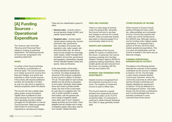## [A] Funding Sources - **Operational Expenditure**

The 'revenue' part of the title 'Revenue and Financing Policy' relates to funding of operating expenditure. The following sources of income are recognised in the operating statement:

#### RATES

A number of the Council activities are funded by a combination of revenue types. The Council practice is to initially account for income from fees and charges, and grants and subsidies or other income sources. If the activity still requires additional funding, the remainder is funded by way of a rate which is applied to relevant properties within the district.

The Council will use a capital value rating system across the district. Capital value is preferred to land value because the Council believes that it generally provides a better surrogate for the allocation of cost for Council services. Rates are generally used where it is economically impractical to use fees and charges.

There are two classification types for rates:

- > General rates include uniform annual general charge (UAGC) and capital valued based rate.
- > Targeted rates include capital valued based roading rate, tourism promotion rate, governance rate, recreation and events rate, regulatory rate, water supply rate and stormwater rate. As well as fixed annual charges for sewerage, water supply, waste management, recreation and events, governance and regulatory, Queenstown Aquatic Centre, Wanaka Aquatic Centre and sports, halls and libraries.

In the next section of the policy 'Funding Operational Expenditure by Activity' the tables illustrate the outcome of the analysis undertaken by the Council in relation to Section 101 (3). The last table for each activity details how the activity is proposed to be funded. Generally, these tables show that where a private benefit exists, the cost of this is recovered by user fees or a targeted rate. The cost of public benefits is usually rate funded, with the general rate and a range of targeted capital value rates used to fund 'property' related activities and the UAGC, fixed targeted annual charges and a range of targeted capital value rates used to fund 'people' related activities.

#### FEES AND CHARGES

There is a wide range of revenue under this general title. Generally, the Council will look to use fees and charges to recover the 'private benefit' costs of a particular activity (see table on following page) if it is economically viable to do so.

#### GRANTS AND SUBSIDIES

Some activities of the Council qualify for a grant or subsidy from the Crown. In particular, the Council receives a subsidy from the New Zealand Transport Agency (NZTA) for qualifying roading expenditure. Other smaller grants are also received from the Crown, for example; NZ Fire Service and Creative NZ.

#### INTEREST AND DIVIDENDS FROM INVESTMENTS

Interest income is recognised from all investment sources but is very minor. The majority of investment income is used to offset rates.

The Council receives a regular dividend from Queenstown Airport Corporation (QAC) via its 75.01% ownership stake. It is proposed to continue to utilise forecast dividends from QAC to repay generally funded debt.

#### OTHER SOURCES OF INCOME

Other sources of income include parking infringement fines, petrol tax, rates penalties and concession income. Council also expects that a visitor levy will be introduced by the 2023/24 year. Although mainly a tool for funding visitor related capital expenditure, it is expected that a portion of the levy will fund visitor related operational expenditure. This is a catch-all classification and the income is treated in the same way as fees and charges.

#### FUNDING OPERATIONAL EXPENDITURE BY ACTIVITY

The tables in the following section illustrate the outcome of the analysis undertaken by the Council in relation to Section 101 (3). The first table in each activity analysis labelled 'Community Outcome' shows the community outcomes to which each activity primarily contributes and thereby satisfies the requirement of Section 101(3) (a) referred to in the background section. This table shows only the primary contributions and it is acknowledged that some activities contribute to more outcomes than those shown.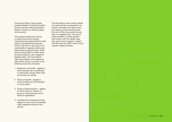The second table in each activity analysis labelled 'Funding Principles' shows how the funding principles in Section 101(3) b) to e) above relate to the activity.

This analysis assists the Council in determining which funding mechanisms are appropriate for each activity. Generally those activities which score low for user pays or for cost/benefit of separate funding are best funded by general rates, whilst those scoring higher in those areas are best funded by user charges or targeted rates. The low/medium/ high rating relates to the degree by which each activity conforms to the following economic principles:

- 1 Distribution of benefit degree to which benefits can be attributed to individuals/ groups rather than community as a whole.
- 2 Period of benefit degree to which benefits can be attributed to future period.
- 3 Extent of action/inaction degree to which action or inaction of group or individuals give rise to need for expenditure.
- 4 Cost/benefit of separate funding degree to which cost and benefits justify separate funding of this activity.

The third table in each activity details how each activity is proposed to be funded. Generally, this table shows that where a private benefit exists, the cost of this is recovered by user fees or a targeted rate. The cost of public benefits is usually general rate funded, with the capital value rate used to fund 'property' related activities and the UAGC used to fund 'people' related activities.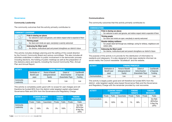#### Governance

#### Community Leadership

The community outcomes that this activity primarily contributes to:

| <b>COMMUNITY LEADERSHIP</b> |                                                                                                                     |  |  |  |  |  |
|-----------------------------|---------------------------------------------------------------------------------------------------------------------|--|--|--|--|--|
|                             | Pride in sharing our places<br>> Our welcome is warm and genuine, and visitors respect what is expected of them     |  |  |  |  |  |
| $1000 - 100$                | <b>Thriving people</b><br>> Our doors and minds are open; everybody is warmly welcomed                              |  |  |  |  |  |
|                             | <b>Embracing the Maori world</b><br>> Our diverse, multicultural past and present strengthens our district's future |  |  |  |  |  |

This activity includes strategic planning and the setting of the overall direction by the Council, Community Board and various committees. This also includes all activities undertaken in relation to public involvement in the democratic process including elections, the holding of public meetings as well as the preparation of the statutory plans and reports, including the Council Community Plan, Annual Plan and Annual Report.

| <b>ACTIVITY</b>         | <b>FUNDING PRINCIPLES</b>                 |                                                                   |                                                    |                                        |  |  |  |
|-------------------------|-------------------------------------------|-------------------------------------------------------------------|----------------------------------------------------|----------------------------------------|--|--|--|
|                         | Distribution of<br>Benefit (user<br>pays) | <b>Period of Benefit</b><br><i>(Intergenerational)</i><br>Equity) | Extent of<br>Action/Inaction<br>(Exacerbator Pays) | Cost/Benefit<br>of Seperate<br>Funding |  |  |  |
| Community<br>Leadership | Low                                       | Med                                                               | Low                                                | Low                                    |  |  |  |

This activity is completely public good with no scope for user charges and will therefore be funded 80% from the district-wide targeted capital value based Governance Rate and 20% from the Governance and Regulatory Charge.

| <b>ACTIVITY</b>         | <b>ECONOMIC BENEFIT</b><br><b>ASSESSMENT</b> |        |             | <b>FUNDING</b><br><b>TARGETS</b> |               | <b>FUNDING</b><br><b>MECHANISM</b> |                                                |
|-------------------------|----------------------------------------------|--------|-------------|----------------------------------|---------------|------------------------------------|------------------------------------------------|
|                         | Private                                      | Public | Exacerbator | Private                          | <b>Public</b> | Private                            | Public                                         |
| Community<br>Leadership | 0%                                           | 100%   | $0\%$       | 0%                               | 100%          |                                    | Gov Rate<br>$(80\%)$ Gov<br>& Reg Chg<br>(20%) |

#### Communications

The community outcomes that this activity primarily contributes to:

| <b>COMMUNICATIONS</b>                                                                                                            |  |  |  |  |  |  |  |
|----------------------------------------------------------------------------------------------------------------------------------|--|--|--|--|--|--|--|
| Pride in sharing our places<br>Our welcome is warm and genuine, and visitors respect what is expected of them<br>$\geq$          |  |  |  |  |  |  |  |
| <b>Thriving people</b><br>Our doors and minds are open; everybody is warmly welcomed<br>$\geq$                                   |  |  |  |  |  |  |  |
| Disaster-defying resilience<br>Our people stand tall through any challenge, caring for whanau, neighbours and<br>visitors alike. |  |  |  |  |  |  |  |
| <b>Embracing the Mäori world</b><br>Our diverse, multicultural past and present strengthens our district's future<br>$\geq$      |  |  |  |  |  |  |  |

The purpose of this activity is to provide for the distribution of information to residents and ratepayers. It is also designed to help keep residents informed via social media; the Council newsletter 'Scuttlebutt' and the website.

| <b>ACTIVITY</b>       | <b>FUNDING PRINCIPLES</b>        |                                         |                              |                             |  |  |  |
|-----------------------|----------------------------------|-----------------------------------------|------------------------------|-----------------------------|--|--|--|
|                       | Distribution of<br>Benefit (user | Period of Benefit<br>(Intergenerational | Extent of<br>Action/Inaction | Cost/Benefit<br>of Seperate |  |  |  |
|                       | pays)                            | Equity)                                 | (Exacerbator Pays)           | <b>Funding</b>              |  |  |  |
| <b>Communications</b> | _0W                              | Low                                     | Low                          | Low                         |  |  |  |

This activity is largely public good and will therefore be funded 90% from the district- wide targeted capital value based Governance Rate and the Governance and Regulatory Charge with the remainder provided by cost recoveries.

| <b>ACTIVITY</b>       | <b>ECONOMIC BENEFIT</b><br><b>ASSESSMENT</b> |        |             | <b>FUNDING</b><br><b>TARGETS</b> |        | <b>FUNDING</b><br><b>MECHANISM</b> |                                                |
|-----------------------|----------------------------------------------|--------|-------------|----------------------------------|--------|------------------------------------|------------------------------------------------|
|                       | Private                                      | Public | Exacerbator | Private                          | Public | Private                            | Public                                         |
| <b>Communications</b> | $0\%$                                        | 100%   | 0%          | $1\%$                            | 99%    |                                    | Gov Rate<br>$(80\%)$ Gov<br>& Reg Chg<br>(20%) |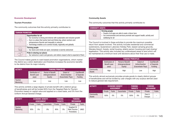#### Economic Development

#### Tourism Promotion

The community outcomes that this activity primarily contributes to:

| <b>TOURISM PROMOTION</b> |                                                                                                                                                                                                                                                                                                               |  |  |  |  |  |  |
|--------------------------|---------------------------------------------------------------------------------------------------------------------------------------------------------------------------------------------------------------------------------------------------------------------------------------------------------------|--|--|--|--|--|--|
| $\frac{1}{2}$            | <b>Opportunities for all</b><br>> Our economy is strong and diverse with sustainable and inclusive growth<br>$>$ Ours is a place that works hard and thinks big, where workers and<br>entrepreneurs flourish and inequality is reduced<br>> Technology enables us to connect locally, regionally and globally |  |  |  |  |  |  |
|                          | <b>Thriving people</b><br>> Our doors and minds are open; everybody is warmly welcomed                                                                                                                                                                                                                        |  |  |  |  |  |  |
|                          | Pride in sharing our places<br>> Our welcome is warm and genuine, and visitors respect what is expected of them                                                                                                                                                                                               |  |  |  |  |  |  |

The Council makes grants to ward based promotion organisations, which market the district as a visitor destination and therefore increases the economic benefits to the district from its major industry.

| <b>ACTIVITY</b>      | <b>FUNDING PRINCIPLES</b>                 |                                                    |                                                    |                                        |  |  |  |
|----------------------|-------------------------------------------|----------------------------------------------------|----------------------------------------------------|----------------------------------------|--|--|--|
|                      | Distribution of<br>Benefit (user<br>pays) | Period of Benefit<br>(Intergenerational<br>Equity) | Extent of<br>Action/Inaction<br>(Exacerbator Pays) | Cost/Benefit<br>of Seperate<br>Funding |  |  |  |
| Tourism<br>Marketing | Low                                       | Low                                                | Low                                                | Low                                    |  |  |  |

This activity exhibits a large degree of private benefit with a distinct group of beneficiaries and will be funded 95% from the Targeted Rate for Tourism Promotion based on capital value and applied on a ward basis, and 5% from the Uniform Annual General Charge.

| <b>ACTIVITY</b>      | <b>ECONOMIC BENEFIT</b><br><b>ASSESSMENT</b> |        |             | <b>FUNDING</b><br><b>TARGETS</b> |        | <b>FUNDING</b><br><b>MECHANISM</b>                |             |
|----------------------|----------------------------------------------|--------|-------------|----------------------------------|--------|---------------------------------------------------|-------------|
|                      | Private                                      | Public | Exacerbator | Private                          | Public | Private                                           | Public      |
| Tourism<br>Marketing | 95%                                          | 5%     | 0%          | 95%                              | 5%     | <b>Targeted CV</b><br>Rate (Tourism<br>Promotion) | <b>UAGC</b> |

#### Community Assets

The community outcomes that this activity primarily contributes to:

#### COMMUNITY ASSETS

Thriving people



> People of all ages are able to seek a future here

> Our environments and services promote and support health, activity and wellbeing for all

The Council is involved in these activities to provide the maximum possible return from assets involved. This activity includes residential and commercial subdivisions, Queenstown Lakeview Holiday Park, leased camping grounds, Wanaka Airport, forests, rental housing, elderly person housing and road closing/ legalisation. This activity also includes any undeveloped areas of land which will be maintained at a minimum level until decisions about their final use is made.

| <b>ACTIVITY</b>     | <b>FUNDING PRINCIPLES</b>                 |                                                    |                                                    |                                        |  |  |  |
|---------------------|-------------------------------------------|----------------------------------------------------|----------------------------------------------------|----------------------------------------|--|--|--|
|                     | Distribution of<br>Benefit (user<br>pays) | Period of Benefit<br>(Intergenerational<br>Equity) | Extent of<br>Action/Inaction<br>(Exacerbator Pays) | Cost/Benefit<br>of Seperate<br>Funding |  |  |  |
| Community<br>Assets | High                                      | High                                               | Low                                                | High                                   |  |  |  |

This activity almost exclusively provides private goods to clearly distinct groups of beneficiaries and will be funded by user charges with any surplus derived used to reduce general rate requirement.

| <b>ACTIVITY</b>     | <b>ECONOMIC BENEFIT</b><br><b>ASSESSMENT</b> |        | <b>FUNDING</b><br><b>TARGETS</b> |         | <b>FUNDING</b><br><b>MECHANISM</b> |                   |               |
|---------------------|----------------------------------------------|--------|----------------------------------|---------|------------------------------------|-------------------|---------------|
|                     | Private                                      | Public | Exacerbator                      | Private | Public                             | Private           | <b>Public</b> |
| Community<br>Assets | 100%                                         | $0\%$  | 0%                               | 100%    | 0%                                 | Fees &<br>Charges |               |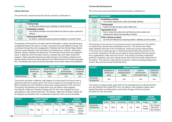#### **Community**

#### Library Services

The community outcomes that this activity primarily contributes to:

|              | <b>LIBRARY SERVICES</b>                                                                                                          |  |  |  |  |  |  |
|--------------|----------------------------------------------------------------------------------------------------------------------------------|--|--|--|--|--|--|
| $-600 - 100$ | <b>Thriving People</b><br>> Our doors and minds are open; everybody is warmly welcomed                                           |  |  |  |  |  |  |
|              | <b>Breathtaking creativity</b><br>> Free-thinking innovation and locally distinct arts make our place a byword for<br>brilliance |  |  |  |  |  |  |
|              | <b>Embracing the Maori world</b><br>Our diverse, multicultural past and present strengthens our district's future                |  |  |  |  |  |  |

The purpose of this activity is to help meet the information, cultural, educational and recreational needs of its users in a timely, convenient and cost effective manner. This is achieved through the joint management of libraries with the Central Otago District. There are seven libraries within the district; at Queenstown, Frankton, Arrowtown, Wanaka, Hawea, Kingston and Glenorchy. The services include book and magazine loans, a reference and information service, compact disc and video rentals and research. Other specialist services provided include a local history collection and special needs services including large print and talking books and foreign language text. The libraries also hold community information and contact names and addresses.

| <b>ACTIVITY</b>         | <b>FUNDING PRINCIPLES</b> |                    |                    |              |  |  |  |
|-------------------------|---------------------------|--------------------|--------------------|--------------|--|--|--|
|                         | Distribution of           | Period of Benefit  | Extent of          | Cost/Benefit |  |  |  |
|                         | Benefit (user             | (Intergenerational | Action/Inaction    | of Seperate  |  |  |  |
|                         | pays)                     | Equity)            | (Exacerbator Pays) | Funding      |  |  |  |
| <b>Library Services</b> | Med                       | ∟0W                | Low                | Low          |  |  |  |

This activity provides a relatively high degree of private good but there is also a significant element of public good. The Council wishes to encourage the use of library facilities and will therefore limit the user charge element to the minimum. The activity will therefore be funded 98% from the district-wide targeted fixed Sports, Halls and Libraries Charge and 2% from user charges for some specialised or high demand services. The Sports, Halls and Libraries Charge will be targeted at properties with a residential component and not at businesses.

| <b>ACTIVITY</b>         | <b>ECONOMIC BENEFIT</b><br><b>ASSESSMENT</b> |               |             | <b>FUNDING</b><br><b>TARGETS</b> |               | <b>FUNDING</b><br><b>MECHANISM</b> |                                                 |
|-------------------------|----------------------------------------------|---------------|-------------|----------------------------------|---------------|------------------------------------|-------------------------------------------------|
|                         | Private                                      | <b>Public</b> | Exacerbator | Private                          | <b>Public</b> | Private                            | <b>Public</b>                                   |
| <b>Library Services</b> | 65%                                          | 35%           | 0%          | 2%                               | 98%           | Fees.<br>Charges<br>& Fines        | Fixed Sports,<br>Halls &<br>Libraries<br>Charge |

#### Community Development

The community outcomes that this activity primarily contributes to:

| <b>COMMUNITY DEVELOPMENT</b> |                                                                                                                                                       |  |  |  |  |  |
|------------------------------|-------------------------------------------------------------------------------------------------------------------------------------------------------|--|--|--|--|--|
|                              | <b>Breathtaking creativity</b><br>Our economy supports arts, culture and heritage industries                                                          |  |  |  |  |  |
|                              | <b>Thriving people</b><br>> People of all ages are able to seek a future here                                                                         |  |  |  |  |  |
| $\frac{1}{2}$                | <b>Opportunities for all</b><br>Ours is a place that works hard and thinks big, where workers and<br>entrepreneurs flourish and inequality is reduced |  |  |  |  |  |
|                              | Pride in sharing our places<br>Our lives are enhanced by measuring wealth in wellbeing as well as dollars<br>$\geq$                                   |  |  |  |  |  |

The purpose of this activity is to promote economic development in the district by supporting a diverse and sustainable economy. This activity also helps keep residents informed of the recreational, social and cultural opportunities in the area and to assist groups in maximising the benefits they provide to the community. Assistance will also be provided to those seeking financial support from organisations other than the Council. This activity promotes a balanced portfolio of sporting, arts and cultural events that meet community objectives for the district. The Council is also directly involved in events including programmes at New Year and the annual Christmas Show.

| <b>ACTIVITY</b>          | <b>FUNDING PRINCIPLES</b>                 |                                                    |                                                    |                                        |  |  |  |
|--------------------------|-------------------------------------------|----------------------------------------------------|----------------------------------------------------|----------------------------------------|--|--|--|
|                          | Distribution of<br>Benefit (user<br>pays) | Period of Benefit<br>(Intergenerational<br>Equity) | Extent of<br>Action/Inaction<br>(Exacerbator Pays) | Cost/Benefit<br>of Seperate<br>Funding |  |  |  |
| Community<br>Development | Low                                       | Low                                                | Low                                                | Low                                    |  |  |  |

This activity is largely public good with for the recreational and cultural activities and will therefore be funded 94% from the district-wide targeted capital value based Recreation and Recreation and Events Charge with the remainder provided by cost recoveries.

| <b>ACTIVITY</b>          | <b>ECONOMIC BENEFIT</b><br><b>ASSESSMENT</b> |        |             | <b>FUNDING</b><br><b>TARGETS</b> |        | <b>FUNDING</b><br><b>MECHANISM</b> |                                             |
|--------------------------|----------------------------------------------|--------|-------------|----------------------------------|--------|------------------------------------|---------------------------------------------|
|                          | Private                                      | Public | Exacerbator | Private                          | Public | Private                            | Public                                      |
| Community<br>Development | 0%                                           | 100%   | $0\%$       | 6%                               | 94%    | Fees &<br>Charges                  | Rec & Events<br>Rate (50%)/<br>Rec & Events |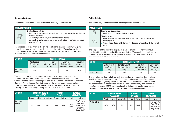#### Community Grants

The community outcomes that this activity primarily contributes to:

| <b>COMMUNITY GRANTS</b> |                                                                                                                                                                                                                                                                                                                               |
|-------------------------|-------------------------------------------------------------------------------------------------------------------------------------------------------------------------------------------------------------------------------------------------------------------------------------------------------------------------------|
|                         | <b>Breathtaking creativity</b><br>> Artists and art lovers unite in both dedicated spaces and beyond the boundaries of<br>venues and facilities<br>> Our economy supports arts, culture and heritage industries<br>> Our breath-taking landscapes and diverse people attract strong talent and create<br>space for reflection |

The purpose of this activity is the provision of grants to assist community groups to provide a range of activities and services in the district. These include the Lakes District Museum; Aspiring Arts Trust; Sports Central; the Wakatipu Trails Trust and various community associations.

| <b>ACTIVITY</b>     | <b>FUNDING PRINCIPLES</b>                 |                                                           |                                                    |                                        |  |  |
|---------------------|-------------------------------------------|-----------------------------------------------------------|----------------------------------------------------|----------------------------------------|--|--|
|                     | Distribution of<br>Benefit (user<br>pays) | <b>Period of Benefit</b><br>(Intergenerational<br>Equity) | Extent of<br>Action/Inaction<br>(Exacerbator Pays) | Cost/Benefit<br>of Seperate<br>Funding |  |  |
| Community<br>Grants | Low                                       | Low                                                       | Low                                                | Low                                    |  |  |

This activity is largely public good with no scope for user charges and will therefore be 74% funded from the Uniform Annual General Charge and 14% funded from the district-wide targeted capital value based Recreation and Events Rate and Recreation and Events Charge for the grants made to organisations for recreational purposes. This analysis relates to the cost of the activity after allowing for the receipt of grants by the Council in its role as agent.

| <b>ACTIVITY</b>     | <b>ECONOMIC BENEFIT</b><br><b>ASSESSMENT</b> |               | <b>FUNDING</b><br><b>TARGETS</b> |         | <b>FUNDING</b><br><b>MECHANISM</b> |                 |                                                                       |
|---------------------|----------------------------------------------|---------------|----------------------------------|---------|------------------------------------|-----------------|-----------------------------------------------------------------------|
|                     | Private                                      | <b>Public</b> | Exacerbator                      | Private | Public                             | Private         | Public                                                                |
| Community<br>Grants | 0%                                           | 100%          | $0\%$                            | 12%     | 88%                                | Crown<br>Grants | Rec & Events<br>Rate (7%)/<br>Rec & Events<br>Chg (7%)/<br>UAGC (74%) |

#### Public Toilets

The community outcomes that this activity primarily contributes to:

| <b>PUBLIC TOILETS</b> |                                                                                                                                                                                                                           |
|-----------------------|---------------------------------------------------------------------------------------------------------------------------------------------------------------------------------------------------------------------------|
|                       | <b>Disaster-defying resilience</b><br>> Our infrastructure is as resilient as our people                                                                                                                                  |
| $-60$                 | <b>Thriving people</b><br>> Our environments and services promote and support health, activuty and<br>wellbeing for all<br>> Ours is the most accessible, barrier-free district in Aotearoa New Zealand for all<br>people |

The purpose of this activity is to provide a range of public toilets throughout the district to meet the needs of locals and visitors. The principal objective is to protect the public environment through the provision of clean, accessible and conveniently located public toilets.

| <b>ACTIVITY</b>       | <b>FUNDING PRINCIPLES</b>                 |                                                    |                                                    |                                        |  |  |  |
|-----------------------|-------------------------------------------|----------------------------------------------------|----------------------------------------------------|----------------------------------------|--|--|--|
|                       | Distribution of<br>Benefit (user<br>pays) | Period of Benefit<br>(Intergenerational<br>Equity) | Extent of<br>Action/Inaction<br>(Exacerbator Pays) | Cost/Benefit<br>of Seperate<br>Funding |  |  |  |
| <b>Public Toilets</b> | Med                                       | Med                                                | Low                                                | Low                                    |  |  |  |

This activity provides a relatively high degree of private good but there is also a significant element of public good. Council recognises that these facilities are used to a large degree by visitors to the district and has considered the option of user charges but has rejected this on the basis of efficiency. The activity will therefore be funded 100% from the district-wide targeted capital value based Recreation and Events Rate and the Recreation and Events Charge.

| <b>ACTIVITY</b>       | <b>ECONOMIC BENEFIT</b><br><b>ASSESSMENT</b> |               |             | <b>FUNDING</b><br><b>TARGETS</b> |        | <b>FUNDING</b><br><b>MECHANISM</b> |                                                          |
|-----------------------|----------------------------------------------|---------------|-------------|----------------------------------|--------|------------------------------------|----------------------------------------------------------|
|                       | Private                                      | <b>Public</b> | Exacerbator | Private                          | Public | Private                            | <b>Public</b>                                            |
| <b>Public Toilets</b> | 80%                                          | 20%           | 0%          | 0%                               | 100%   |                                    | Rec & Events<br>Rate (50%)/<br>Rec & Events<br>Chg (50%) |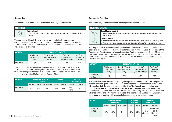#### **Cemeteries**

The community outcomes that this activity primarily contributes to:

| <b>CEMETERIES</b> |                                                                                                                               |
|-------------------|-------------------------------------------------------------------------------------------------------------------------------|
| -60)-<br>Cod      | <b>Thriving People</b><br>$\geq 0$ ur environments and services promote and support health, activity and wellbeing<br>for all |
|                   |                                                                                                                               |

The purpose of this activity is to provide for cemeteries throughout the district. Services provided by the Council include areas for the burial of human remains, internment of human ashes, the maintenance of burial records and the maintenance of grounds.

| <b>ACTIVITY</b>   | <b>FUNDING PRINCIPLES</b>        |                                         |                              |                             |  |  |
|-------------------|----------------------------------|-----------------------------------------|------------------------------|-----------------------------|--|--|
|                   | Distribution of<br>Benefit (user | Period of Benefit<br>(Intergenerational | Extent of<br>Action/Inaction | Cost/Benefit<br>of Seperate |  |  |
|                   | pays)                            | Equity)                                 | (Exacerbator Pays)           | Funding                     |  |  |
| <b>Cemeteries</b> | High                             | Med                                     | Low                          | Med                         |  |  |

This activity provides a relatively high degree of private good but there is also a significant element of public good. This activity will therefore be funded 60% from user charges in the form of plot sales and burial fees with the balance of 40% coming from the Uniform Annual General Charge

| <b>ACTIVITY</b> | <b>ECONOMIC BENEFIT</b><br><b>ASSESSMENT</b> |        |             | <b>FUNDING</b> | <b>TARGETS</b> |                   | <b>FUNDING</b><br><b>MECHANISM</b> |
|-----------------|----------------------------------------------|--------|-------------|----------------|----------------|-------------------|------------------------------------|
|                 | Private                                      | Public | Exacerbator | Private        | Public         | Private           | Public                             |
| Cemeteries      | 60%                                          | 40%    | $0\%$       | 60%            | 40%            | Fees &<br>Charges | <b>UAGC</b>                        |

#### Community Facilities

The community outcomes that this activity primarily contributes to:

| <b>COMMUNITY FACILITIES</b> |                                                                                                                                                                                                                     |
|-----------------------------|---------------------------------------------------------------------------------------------------------------------------------------------------------------------------------------------------------------------|
|                             | <b>Breathtaking creativity</b><br>> Our breath-taking landscapes and diverse people attract strong talent and create space<br>for reflection                                                                        |
| $-600 - 100$                | <b>Thriving People</b><br>> Our environments and services promote and support health, activity and wellbeing for all<br>> Ours is the most accessible, barrier-free district in Aotearoa New Zealand for all people |

The purpose of this activity is to help provide community halls, community swimming pools and other multi-use indoor facilities for the district. This includes the facilities at the Queenstown Events Centre; Wanaka Recreation Centre; Lake Wanaka Centre; Memorial Hall; Lake Hayes Pavilion; Arrowtown Hall; Arrowtown Pool and Wanaka Community Pool. The Queenstown and Wanaka Aquatic Centres are included in a separate activity – Aquatics (see below).

| <b>ACTIVITY</b>                | <b>FUNDING PRINCIPLES</b>                 |                                                    |                                                    |                                        |  |
|--------------------------------|-------------------------------------------|----------------------------------------------------|----------------------------------------------------|----------------------------------------|--|
|                                | Distribution of<br>Benefit (user<br>pays) | Period of Benefit<br>(Intergenerational<br>Equity) | Extent of<br>Action/Inaction<br>(Exacerbator Pays) | Cost/Benefit<br>of Seperate<br>Funding |  |
| Community<br><b>Facilities</b> | High                                      | Med                                                | Low                                                | Med                                    |  |

This activity provides a relatively high degree of private good but there is also a significant element of public good. Council wishes to encourage the use of community facilities and will therefore limit the user charge element to 40%. The Council has also determined that it will not seek to fund the depreciation expense associated with these assets. The activity will therefore be funded 60% from the district-wide targeted fixed Sports, Halls and Libraries Charge and 40% from user charges. The Sports, Halls and Libraries Charge will be targeted at properties with a residential component and not at businesses.

| <b>ACTIVITY</b>                | <b>ECONOMIC BENEFIT</b><br><b>ASSESSMENT</b> |               |             | <b>FUNDING</b><br><b>TARGETS</b> |        | <b>FUNDING</b><br><b>MECHANISM</b> |                                                 |
|--------------------------------|----------------------------------------------|---------------|-------------|----------------------------------|--------|------------------------------------|-------------------------------------------------|
|                                | Private                                      | <b>Public</b> | Exacerbator | Private                          | Public | Private                            | Public                                          |
| Community<br><b>Facilities</b> | 70%                                          | 30%           | 0%          | 40%                              | 60%    | Fees &<br>Charges                  | Fixed Sports,<br>Halls &<br>Libraries<br>Charge |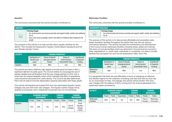#### Aquatics

The community outcomes that this activity primarily contributes to:

| <b>Thriving People</b><br>for all                                                              | <b>AQUATICS</b> |                                                                                    |
|------------------------------------------------------------------------------------------------|-----------------|------------------------------------------------------------------------------------|
| > Ours is the most accessible, barrier-free district in Aotearoa New Zealand for all<br>people |                 | > Our environments and services promote and support health, activity and wellbeing |

The purpose of this activity is to help provide indoor aquatic facilities for the district. This includes the Queenstown Aquatic Centre (Alpine Aqualand) and the new Wanaka Aquatic Centre.

| <b>ACTIVITY</b> | <b>FUNDING PRINCIPLES</b>        |                                         |                              |                             |  |  |
|-----------------|----------------------------------|-----------------------------------------|------------------------------|-----------------------------|--|--|
|                 | Distribution of<br>Benefit (user | Period of Benefit<br>(Intergenerational | Extent of<br>Action/Inaction | Cost/Benefit<br>of Seperate |  |  |
|                 | pays)                            | Equity)                                 | (Exacerbator Pays)           | Funding                     |  |  |
| Aquatics        | High                             | Med                                     | Low                          | Med                         |  |  |

This activity provides a relatively high degree of private good but there is also a significant element of public good. The Council wishes to encourage the use of aquatic facilities and will therefore limit the user charge element to 45%; this is lower than the original feasibility report which indicated that 60% of operational costs should be recovered from users directly. The Council has also determined that it will not seek to fund the depreciation expense associated with these assets.

This activity will therefore be funded 55% from the ward based Aquatic Centre Charges only and 45% from user charges. The Aquatic Centre Charge will be targeted at properties with a residential component and not at businesses.

| <b>ACTIVITY</b> | <b>ECONOMIC BENEFIT</b><br><b>ASSESSMENT</b> |        |             | <b>FUNDING</b><br><b>TARGETS</b> |        | <b>FUNDING</b><br><b>MECHANISM</b> |                                          |
|-----------------|----------------------------------------------|--------|-------------|----------------------------------|--------|------------------------------------|------------------------------------------|
|                 | Private                                      | Public | Exacerbator | Private                          | Public | Private                            | Public                                   |
| Aquatics        | 70%                                          | 30%    | $0\%$       | 45%                              | 55%    | Fees &<br>Charges                  | Fixed<br>Aquatics<br>Charge<br>$(100\%)$ |

#### Waterways Facilities

The community outcomes that this activity primarily contributes to:

#### WATERWAYS FACILITIES Thriving People



> Our environments and services promote and support health, activity and wellbeing for all

The purpose of this activity is to help provide affordable and accessible water based recreation facilities throughout the district that may also be used by commercial operators. This activity includes the maintenance and development of the Council owned waterways facilities including ramps, jetties and marinas. This does not include facilities which are attached to Council land but owned by other organisations i.e. yacht clubs, individuals or companies, nor does it include facilities that are leased out such as the Queenstown Main Town Pier.

| <b>ACTIVITY</b>                | <b>FUNDING PRINCIPLES</b>                 |                                                    |                                                    |                                        |  |
|--------------------------------|-------------------------------------------|----------------------------------------------------|----------------------------------------------------|----------------------------------------|--|
|                                | Distribution of<br>Benefit (user<br>pays) | Period of Benefit<br>(Intergenerational<br>Equity) | Extent of<br>Action/Inaction<br>(Exacerbator Pays) | Cost/Benefit<br>of Seperate<br>Funding |  |
| Waterways<br><b>Facilities</b> | High                                      | Med                                                | Low                                                | Med                                    |  |

It is recognised that there are real difficulties in terms of designing an effective and efficient regime for the collection of boating user fees and that we must rely on our local bylaw for fees. Accordingly, this activity will be funded 10% from user charges with the balance of 90% coming from the revenue generated from waterways based concessions.

| <b>ACTIVITY</b>                | <b>ECONOMIC BENEFIT</b><br><b>ASSESSMENT</b> |        | <b>FUNDING</b><br><b>TARGETS</b> |         | <b>FUNDING</b><br><b>MECHANISM</b> |                   |                         |
|--------------------------------|----------------------------------------------|--------|----------------------------------|---------|------------------------------------|-------------------|-------------------------|
|                                | Private                                      | Public | Exacerbator                      | Private | Public                             | Private           | Public                  |
| Waterways<br><b>Facilities</b> | 90%                                          | 10%    | 0%                               | 10%     | 90%                                | Fees &<br>Charges | Waterways<br>Concession |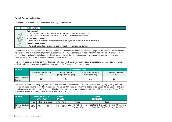#### Parks & Recreation Facilities

The community outcomes that this activity primarily contributes to:

| <b>PARKS &amp; RECREATION FACILITIES</b> |                                                                                                                                                                                                                 |  |  |  |  |  |
|------------------------------------------|-----------------------------------------------------------------------------------------------------------------------------------------------------------------------------------------------------------------|--|--|--|--|--|
|                                          | <b>Thriving people</b><br>Our environments and services promote and support health, activuty and wellbeing for all<br>Ours is the most accessible, barrier-free district in Aotearoa New Zealand for all people |  |  |  |  |  |
| $\bigotimes$                             | <b>Breathtaking creativity</b><br>Artists and art lovers unite in both dedicated spaces and beyond the boundaries of venues and facilities                                                                      |  |  |  |  |  |
| šiloj<br>Santo                           | <b>Deafening dawn chorus</b><br>We are all kaitiaki of our protected and restored incredible environment, flora and fauna                                                                                       |  |  |  |  |  |

The purpose of the activity is to help provide affordable and accessible recreation facilities throughout the district. This includes the maintenance and development of primarily outdoor recreation facilities that are owned by the Council. This activity includes most items that are traditionally called parks and reserves and covers the maintenance and development of outdoor passive recreation areas, as well as sports fields, playgrounds and the trail network.

This activity does not include facilities which are on Council land, but are owned by other organisations i.e. some bowling, tennis and golf clubs. Multi-use indoor facilities are covered in the Community Facilities activity.

| <b>ACTIVITY</b>                         | <b>FUNDING PRINCIPLES</b>              |                                                 |                                                 |                                            |  |  |
|-----------------------------------------|----------------------------------------|-------------------------------------------------|-------------------------------------------------|--------------------------------------------|--|--|
|                                         | Distribution of Benefit (user<br>pays) | Period of Benefit<br>(Intergenerational Equity) | Extent of Action/Inaction<br>(Exacerbator Pays) | Cost/Benefit of Seperate<br><b>Funding</b> |  |  |
| Parks & Recreation<br><b>Facilities</b> | _0W                                    | Med                                             | Low                                             | Low                                        |  |  |

The analysis delivers a funding target of 2% for user fees with the balance of 18% (for the private funding target) being met from commercial lease income derived from reserves. This leaves 80% recovered from the district-wide targeted fixed Sports, Halls and Libraries Charge (30%) for sports fields and 50% from the district-wide targeted capital value based Recreation and Events Rate and the Recreation and Events Charge for the balance of costs.

| <b>ACTIVITY</b>                         |         | <b>ASSESSMENT</b> | <b>LECONOMIC BENEFIT \</b> | <b>FUNDING</b><br><b>TARGETS</b> |        | <b>FUNDING</b><br><b>MECHANISM</b>          |                                                                                                    |  |
|-----------------------------------------|---------|-------------------|----------------------------|----------------------------------|--------|---------------------------------------------|----------------------------------------------------------------------------------------------------|--|
|                                         | Private | Public            | Exacerbator                | Private                          | Public | Private                                     | Public                                                                                             |  |
| Parks & Recreation<br><b>Facilities</b> | 35%     | 65%               | $0\%$                      | 20%                              | 80%    | Lease Income (18%) / Fees<br>& Charges (2%) | Fixed Sports, Halls & Libraries Charge (30%) / Rec &<br>Events Rate (25%) / Rec & Events Chg (25%) |  |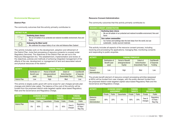#### Environmental Management

#### District Plan

The community outcomes that this activity primarily contributes to:

| <b>DISTRICT PLAN</b> |                                                                                                                              |  |  |  |  |
|----------------------|------------------------------------------------------------------------------------------------------------------------------|--|--|--|--|
|                      | <b>Deafening dawn chorus</b><br>We are all kaitiaki of our protected and restored incredible environment, flora and<br>fauna |  |  |  |  |
|                      | <b>Embracing the Maori world</b><br>We celebrate the unique history of our rohe and Aotearoa New Zealand                     |  |  |  |  |

This activity includes work on the development, adoption and refinement of the District Plan. (note that processing of resource consents is covered under Regulatory Services). The objectives of the District Plan are set out in the Resource Management Act, "the establishment, implementation and review of the objectives, policies and methods of achieving integrated management of the effects of the use, development or management of land and associated natural and physical resources of the district".

| <b>ACTIVITY</b>      |                 | <b>FUNDING PRINCIPLES</b> |                    |              |  |  |  |
|----------------------|-----------------|---------------------------|--------------------|--------------|--|--|--|
|                      | Distribution of | Period of Benefit         | Extent of          | Cost/Benefit |  |  |  |
|                      | Benefit (user   | (Intergenerational        | Action/Inaction    | of Seperate  |  |  |  |
|                      | pays)           | Equity)                   | (Exacerbator Pays) | Funding      |  |  |  |
| <b>District Plan</b> | Low             | High                      | Med                | Low          |  |  |  |

This activity is largely public good with some scope for user charges (private plan changes and district plan sales). The balance of the cost of this activity will be funded from the proposed district-wide targeted capital value based Regulatory Rate and the Governance and Regulatory Charge.

| <b>ACTIVITY</b>      | <b>ECONOMIC BENEFIT</b><br><b>ASSESSMENT</b> |        |             |         | <b>FUNDING</b><br><b>TARGETS</b> | <b>FUNDING</b><br><b>MECHANISM</b> |                                    |
|----------------------|----------------------------------------------|--------|-------------|---------|----------------------------------|------------------------------------|------------------------------------|
|                      | Private                                      | Public | Exacerbator | Private | Public                           | Private                            | Public                             |
| <b>District Plan</b> | 5%                                           | 95%    | 0%          | 5%      | 95%                              | Fees &<br>Charges                  | Regulatory<br>CV Rate /<br>Reg Chg |

#### Resource Consent Administration

The community outcomes that this activity primarily contributes to:

| Resource consent administration |                                                                                                                                                 |  |  |  |  |  |  |
|---------------------------------|-------------------------------------------------------------------------------------------------------------------------------------------------|--|--|--|--|--|--|
|                                 | <b>Deafening dawn chorus</b><br>> We are all kaitiaki of our protected and restored incredible environment, flora and<br>fauna                  |  |  |  |  |  |  |
|                                 | <b>Zero carbon communities</b><br>Our homes and buildings take the best ideas from the world, but use<br>sustainable, locally-sourced materials |  |  |  |  |  |  |

This activity includes all aspects of the resource consent process, including receiving and processing the applications; managing files; monitoring consents and responding to public enquiries.

| <b>ACTIVITY</b>                       | <b>FUNDING PRINCIPLES</b>                 |                                                    |                                                    |                                        |  |  |
|---------------------------------------|-------------------------------------------|----------------------------------------------------|----------------------------------------------------|----------------------------------------|--|--|
|                                       | Distribution of<br>Benefit (user<br>pays) | Period of Benefit<br>(Intergenerational<br>Equity) | Extent of<br>Action/Inaction<br>(Exacerbator Pays) | Cost/Benefit<br>of Seperate<br>Funding |  |  |
| Resource<br>Consent<br>Administration | Low                                       | High                                               | Med                                                | Low                                    |  |  |

The private benefit element of resource consent processing activities (assessed at 80%) will be funded from user charges, with the public element funded from the proposed district-wide targeted capital value based Regulatory Rate and the Governance and Regulatory Charge.

| <b>ACTIVITY</b>                       | <b>ECONOMIC BENEFIT</b><br><b>ASSESSMENT</b> |        |             |         | <b>FUNDING</b><br><b>TARGETS</b> |                   | <b>FUNDING</b><br><b>MECHANISM</b> |  |
|---------------------------------------|----------------------------------------------|--------|-------------|---------|----------------------------------|-------------------|------------------------------------|--|
|                                       | Private                                      | Public | Exacerbator | Private | Public                           | Private           | <b>Public</b>                      |  |
| Resource<br>Consent<br>Administration | 80%                                          | 20%    | 0%          | 80%     | 20%                              | Fees &<br>Charges | Regulatory<br>CV Rate /<br>Reg Chg |  |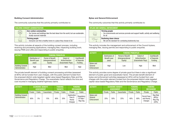#### Building Consent Administration

The community outcomes that this activity primarily contributes to:

| <b>BUILDING CONSENT ADMINISTRATION</b> |                                                                                                                                          |  |  |  |  |
|----------------------------------------|------------------------------------------------------------------------------------------------------------------------------------------|--|--|--|--|
|                                        | Zero carbon communities<br>Our homes and buildings take the best ideas from the world, but use sustainable,<br>locally-sourced materials |  |  |  |  |
| $-680 - 60$                            | <b>Thriving people</b><br>Everyone can find a healthy home in a place they choose to be                                                  |  |  |  |  |

This activity includes all aspects of the building consent process, including receiving and processing applications; managing files; inspecting building work; issuing PIMS and LIMs and responding to public enquiries.

| <b>ACTIVITY</b>                           | <b>FUNDING PRINCIPLES</b>                 |                                                           |                                                    |                                        |  |  |
|-------------------------------------------|-------------------------------------------|-----------------------------------------------------------|----------------------------------------------------|----------------------------------------|--|--|
|                                           | Distribution of<br>Benefit (user<br>pays) | <b>Period of Benefit</b><br>(Intergenerational<br>Equity) | Extent of<br>Action/Inaction<br>(Exacerbator Pays) | Cost/Benefit<br>of Seperate<br>Funding |  |  |
| <b>Building Consent</b><br>Administration | High                                      | Med                                                       | Med                                                | High                                   |  |  |

The private benefit element of building consent processing activities (assessed at 80%) will be funded from user charges, with the public element funded from the proposed district-wide targeted capital value based Regulatory Rate and the Governance and Regulatory Charge. The exacerbator factor reflects the time and cost incurred in managing weather-tightness claims.

| <b>ACTIVITY</b>                           | <b>ECONOMIC BENEFIT</b><br><b>ASSESSMENT</b> |        |             | <b>FUNDING</b><br><b>TARGETS</b> |        | <b>FUNDING</b><br><b>MECHANISM</b>         |                                    |
|-------------------------------------------|----------------------------------------------|--------|-------------|----------------------------------|--------|--------------------------------------------|------------------------------------|
|                                           | Private                                      | Public | Exacerbator | Private                          | Public | Private                                    | <b>Public</b>                      |
| <b>Building Consent</b><br>Administration | 80%                                          | 5%     | 15%         | 80%                              | 20%    | Application<br>Fees &<br>Hourly<br>Charges | Regulatory<br>CV Rate /<br>Reg Chg |

#### Bylaw and General Enforcement

The community outcomes that this activity primarily contributes to:

|    | <b>BYLAW AND GENERAL ENFORCEMENT</b>                                                                                    |  |  |  |  |  |
|----|-------------------------------------------------------------------------------------------------------------------------|--|--|--|--|--|
|    | <b>Thriving people</b><br>> Our environments and services promote and support health, activity and wellbeing<br>for all |  |  |  |  |  |
| Š, | <b>Deafening dawn chorus</b><br>$>$ We set the standard for combating biodiversity loss                                 |  |  |  |  |  |

This activity includes the management and enforcement of the Council bylaws, managing files, issuing permits and responding to public enquiries.

| <b>ACTIVITY</b>                     | <b>FUNDING PRINCIPLES</b>                 |                                                    |                                                    |                                        |  |
|-------------------------------------|-------------------------------------------|----------------------------------------------------|----------------------------------------------------|----------------------------------------|--|
|                                     | Distribution of<br>Benefit (user<br>pays) | Period of Benefit<br>(Intergenerational<br>Equity) | Extent of<br>Action/Inaction<br>(Exacerbator Pays) | Cost/Benefit<br>of Seperate<br>Funding |  |
| Bylaw and<br>General<br>Enforcement | High                                      | Low                                                | High                                               | Med                                    |  |

This activity provides some degree of private good but there is also a significant element of public good and exacerbator factor. The private benefit element of bylaw and enforcement activities (assessed at 40%) will be funded from user charges with the public element funded from the proposed district-wide targeted capital value based Regulatory Rate and the Governance and Regulatory Charge.

| <b>ACTIVITY</b>                     | <b>ECONOMIC BENEFIT</b><br><b>ASSESSMENT</b> |               |             | <b>FUNDING</b><br><b>TARGETS</b> |        | <b>FUNDING</b><br><b>MECHANISM</b>   |                                           |
|-------------------------------------|----------------------------------------------|---------------|-------------|----------------------------------|--------|--------------------------------------|-------------------------------------------|
|                                     | Private                                      | <b>Public</b> | Exacerbator | Private                          | Public | Private                              | <b>Public</b>                             |
| Bylaw and<br>General<br>Enforcement | 25%                                          | 50%           | 25%         | 40%                              | 60%    | Permit Fees<br>and Hourly<br>Charges | Reg Rate<br>$(80\%)/$<br>Reg Chg<br>(20%) |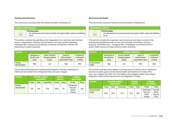#### Parking Administration

The community outcomes that this activity primarily contributes to:

| I PARKING ADMINISTRATION |                                                                                                                         |
|--------------------------|-------------------------------------------------------------------------------------------------------------------------|
|                          | <b>Thriving people</b><br>> Our environments and services promote and support health, activity and wellbeing<br>for all |

This activity includes the patrolling of all designated, time restricted and metered areas in Queenstown, Wanaka and Arrowtown and other general patrolling; managing files; issuing and processing of parking infringement notices and responding to public enquiries.

| <b>ACTIVITY</b>           | <b>FUNDING PRINCIPLES</b>                 |                                                    |                                                    |                                        |
|---------------------------|-------------------------------------------|----------------------------------------------------|----------------------------------------------------|----------------------------------------|
|                           | Distribution of<br>Benefit (user<br>pays) | Period of Benefit<br>(Intergenerational<br>Equity) | Extent of<br>Action/Inaction<br>(Exacerbator Pays) | Cost/Benefit<br>of Seperate<br>Funding |
| Parking<br>Administration | Med                                       | Low                                                | High                                               | Med                                    |

The private benefit element of parking administration activities (assessed at 100%) will be funded from infringement fees and user charges.

| <b>ACTIVITY</b>           | <b>ECONOMIC BENEFIT</b><br><b>ASSESSMENT</b> |        |             | <b>FUNDING</b><br><b>TARGETS</b> |               | <b>FUNDING</b><br><b>MECHANISM</b>             |               |
|---------------------------|----------------------------------------------|--------|-------------|----------------------------------|---------------|------------------------------------------------|---------------|
|                           | Private                                      | Public | Exacerbator | Private                          | <b>Public</b> | Private                                        | <b>Public</b> |
| Parking<br>Administration | 15%                                          | 15%    | 70%         | 100%                             | $0\%$         | Infringement<br>Fines and<br>Rental<br>Charges | N/A           |

#### Environmental Health

The community outcomes that this activity primarily contributes to:

| <b>ENVIRONMENTAL HEALTH</b> |                                                                                                                              |
|-----------------------------|------------------------------------------------------------------------------------------------------------------------------|
| $\frac{1}{2}$               | <b>Thriving people</b><br>$\geq$ 0ur environments and services promote and support health, activity and wellbeing<br>for all |

This activity includes the inspection and licensing of premises involved in the manufacture/preparation/sale of food, hair dressers, mortuaries, camping grounds, winemakers etc.; managing files; investigation and enforcement of public health issues and responding to public enquiries.

| <b>ACTIVITY</b>         | <b>FUNDING PRINCIPLES</b>                 |                                                    |                                                    |                                        |  |
|-------------------------|-------------------------------------------|----------------------------------------------------|----------------------------------------------------|----------------------------------------|--|
|                         | Distribution of<br>Benefit (user<br>pays) | Period of Benefit<br>(Intergenerational<br>Equity) | Extent of<br>Action/Inaction<br>(Exacerbator Pays) | Cost/Benefit<br>of Seperate<br>Funding |  |
| Environmental<br>Health | High                                      | Low                                                | Med                                                | High                                   |  |

This activity provides some degree of private good but there is also a significant element of public good. Environmental health will therefore be funded 70% from user charges and 30% from the district-wide targeted capital value based Regulatory Rate and the Governance and Regulatory Charge.

| <b>ACTIVITY</b>         | <b>ECONOMIC BENEFIT</b><br><b>ASSESSMENT</b> |        |             |         | <b>FUNDING</b><br><b>TARGETS</b> | <b>FUNDING</b><br><b>MECHANISM</b>             |                                           |
|-------------------------|----------------------------------------------|--------|-------------|---------|----------------------------------|------------------------------------------------|-------------------------------------------|
|                         | Private                                      | Public | Exacerbator | Private | <b>Public</b>                    | Private                                        | Public                                    |
| Environmental<br>Health | 60%                                          | 30%    | 10%         | 70%     | 30%                              | Certification<br>Fees and<br>Hourly<br>Charges | Reg Rate<br>$(80\%)/$<br>Reg Chg<br>(20%) |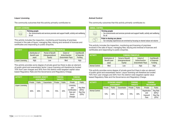#### Liquor Licensing

The community outcomes that this activity primarily contributes to:

| <b>LIQUOR LICENSING</b> |                                                                                                                           |  |  |  |  |
|-------------------------|---------------------------------------------------------------------------------------------------------------------------|--|--|--|--|
| $-600 - 60$             | <b>Thriving people</b><br>$>$ Our environments and services promote and support health, activity and wellbeing<br>for all |  |  |  |  |

This activity includes the inspection, monitoring and licensing of premises involved in the sale of liquor; managing files; issuing and renewal of licences and certificates and responding to public enquiries.

| <b>ACTIVITY</b>         | <b>FUNDING PRINCIPLES</b> |                    |                    |              |  |
|-------------------------|---------------------------|--------------------|--------------------|--------------|--|
|                         | Distribution of           | Period of Benefit  | Extent of          | Cost/Benefit |  |
|                         | Benefit (user             | (Intergenerational | Action/Inaction    | of Seperate  |  |
|                         | pays)                     | Equity)            | (Exacerbator Pays) | Funding      |  |
| <b>Liquor Licensing</b> | High                      | Low                | Med                | High         |  |

This activity provides some degree of private good but there is also an element of public good and exacerbator factor. Liquor licensing will therefore be funded 70% from user charges and 30% from the district-wide targeted capital value based Regulatory Rate and the Governance and Regulatory Charge.

| <b>ACTIVITY</b>  | <b>ECONOMIC BENEFIT</b><br><b>ASSESSMENT</b> |               |             | <b>FUNDING</b><br><b>TARGETS</b> |               | <b>FUNDING</b><br><b>MECHANISM</b>                                 |                                           |
|------------------|----------------------------------------------|---------------|-------------|----------------------------------|---------------|--------------------------------------------------------------------|-------------------------------------------|
|                  | Private                                      | <b>Public</b> | Exacerbator | Private                          | <b>Public</b> | Private                                                            | <b>Public</b>                             |
| Liquor Licensing | 60%                                          | 30%           | 10%         | 70%                              | 30%           | Licensing<br>and<br>Certification<br>Fees and<br>Hourly<br>Charges | Reg Rate<br>$(80\%)/$<br>Reg Chg<br>(20%) |

#### Animal Control

The community outcomes that this activity primarily contributes to:

| <b>ANIMAL CONTROL</b>                      |                                                                                                                           |
|--------------------------------------------|---------------------------------------------------------------------------------------------------------------------------|
| $\frac{1}{2} \left( \frac{1}{2} \right)^2$ | <b>Thriving people</b><br>$>$ Our environments and services promote and support health, activity and wellbeing<br>for all |
|                                            | Pride in sharing our places<br>> Our everyday experiences are enriched by focusing on shared values not volume            |

This activity includes the inspection, monitoring and licensing of premises involved in the sale of liquor; managing files; issuing and renewal of licences and certificates and responding to public enquiries.

| <b>ACTIVITY</b>       |                 | <b>FUNDING PRINCIPLES</b> |                    |              |  |  |  |
|-----------------------|-----------------|---------------------------|--------------------|--------------|--|--|--|
|                       | Distribution of | Period of Benefit         | Extent of          | Cost/Benefit |  |  |  |
|                       | Benefit (user   | (Intergenerational        | Action/Inaction    | of Seperate  |  |  |  |
|                       | pays)           | Equity)                   | (Exacerbator Pays) | Funding      |  |  |  |
| <b>Animal Control</b> | Med             | Low                       | High               | High         |  |  |  |

This activity provides some degree of private good but there is also an element of public good and exacerbator factor. Liquor licensing will therefore be funded 70% from user charges and 30% from the district-wide targeted capital value based Regulatory Rate and the Governance and Regulatory Charge.

| <b>ACTIVITY</b>       | <b>ECONOMIC BENEFIT</b><br><b>ASSESSMENT</b> |               |             |         | <b>FUNDING</b><br><b>TARGETS</b> | <b>FUNDING</b><br><b>MECHANISM</b>     |                                          |
|-----------------------|----------------------------------------------|---------------|-------------|---------|----------------------------------|----------------------------------------|------------------------------------------|
|                       | Private                                      | <b>Public</b> | Exacerbator | Private | <b>Public</b>                    | Private                                | Public                                   |
| <b>Animal Control</b> | 10%                                          | 30%           | 60%         | 70%     | 30%                              | Registration<br>and<br>Impound<br>Fees | Reg Rate<br>$(80\%)$<br>Reg Chg<br>(20%) |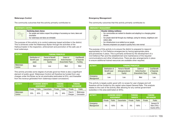#### Waterways Control

The community outcomes that this activity primarily contributes to:

| <b>NATERWAYS CONTROL</b>                                                                                                                                            |  |  |  |  |  |  |
|---------------------------------------------------------------------------------------------------------------------------------------------------------------------|--|--|--|--|--|--|
| Deafening dawn chorus<br>> Our people and visitors respect the privilege of accessing our rivers, lakes and<br>mountains<br>> Our waterways and lakes are drinkable |  |  |  |  |  |  |
|                                                                                                                                                                     |  |  |  |  |  |  |

The purpose of this activity is to control waterway based activities in the district. This is achieved under the Waterways Bylaw through the activities of the Harbourmaster in the inspection, enforcement and promotion of the safe use of local waterways.

| <b>ACTIVITY</b>      | <b>FUNDING PRINCIPLES</b>                 |                                                    |                                                    |                                        |  |
|----------------------|-------------------------------------------|----------------------------------------------------|----------------------------------------------------|----------------------------------------|--|
|                      | Distribution of<br>Benefit (user<br>pays) | Period of Benefit<br>(Intergenerational<br>Equity) | Extent of<br>Action/Inaction<br>(Exacerbator Pays) | Cost/Benefit<br>of Seperate<br>Funding |  |
| Waterways<br>Control | Med                                       | Low                                                | Med                                                | Med                                    |  |

This activity provides some degree of private good but there is also a significant element of public good. Waterways Control will therefore be funded from user charges under the Bylaw as far as practicable (estimated at 6%), and thereafter from the revenue generated from waterways based concessions.

| <b>ACTIVITY</b>      | <b>ECONOMIC BENEFIT</b><br><b>ASSESSMENT</b> |        | <b>FUNDING</b><br><b>TARGETS</b> |         | <b>FUNDING</b><br><b>MECHANISM</b> |                   |                         |
|----------------------|----------------------------------------------|--------|----------------------------------|---------|------------------------------------|-------------------|-------------------------|
|                      | Private                                      | Public | Exacerbator                      | Private | Public                             | Private           | Public                  |
| Waterways<br>Control | 35%                                          | 65%    | 0%                               | 6%      | 94%                                | Fees &<br>Charges | Waterways<br>Concession |

#### Emergency Management

The community outcomes that this activity primarily contributes to:

| FMFRGFNCY MANAGFMFNT |                                                                                                                                                                                                                                                                                                                                             |
|----------------------|---------------------------------------------------------------------------------------------------------------------------------------------------------------------------------------------------------------------------------------------------------------------------------------------------------------------------------------------|
| Sj                   | Disaster-defying resilience<br>Our communities are resilient to disasters and adapting to a changing global<br>climate<br>Our people stand tall through any challenge, caring for whanau, neighbours and<br>visitors alike<br>Our infrastructure is as resilient as our people<br>Recovery empowers our people to quickly find a new normal |

The purpose of this activity is to ensure the district is prepared to respond appropriately to Civil Defence emergencies by having appropriate plans and procedures in place. This is primarily achieved by the development of a Civil Defence Plan and the establishment and maintenance of the required communications and other infrastructure. There are also arrangements in place to ensure additional trained resources are available when required.

| <b>ACTIVITY</b>         | <b>FUNDING PRINCIPLES</b>                 |                                                            |                                                    |                                        |  |
|-------------------------|-------------------------------------------|------------------------------------------------------------|----------------------------------------------------|----------------------------------------|--|
|                         | Distribution of<br>Benefit (user<br>pays) | Period of Benefit<br><i>(Intergenerational)</i><br>Equity) | Extent of<br>Action/Inaction<br>(Exacerbator Pays) | Cost/Benefit<br>of Seperate<br>Funding |  |
| Emergency<br>Management | Low                                       | Low                                                        | Med                                                | Low                                    |  |

This activity is largely public good with no scope for user charges and will therefore will be funded by the capital value based General Rate. This analysis relates to the cost of the activity after allowing for any central government subsidies in this area (estimated at 30%).

| <b>ACTIVITY</b>         | <b>ECONOMIC BENEFIT</b><br><b>ASSESSMENT</b> |        |             |         | <b>FUNDING</b><br><b>FUNDING</b><br><b>TARGETS</b><br><b>MECHANISM</b> |         |                                                      |
|-------------------------|----------------------------------------------|--------|-------------|---------|------------------------------------------------------------------------|---------|------------------------------------------------------|
|                         | Private                                      | Public | Exacerbator | Private | <b>Public</b>                                                          | Private | <b>Public</b>                                        |
| Emergency<br>Management | 0%                                           | 100%   | 0%          | $0\%$   | 100%                                                                   |         | <b>General CV</b><br>Rate (70%) /<br>Grants $(30\%)$ |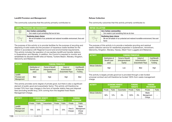#### Landfill Provision and Management

The community outcomes that this activity primarily contributes to:

| <b>LANDFILL PROVISIONS AND MANAGEMENT</b> |                                                                                                                              |  |  |  |  |  |  |
|-------------------------------------------|------------------------------------------------------------------------------------------------------------------------------|--|--|--|--|--|--|
|                                           | <b>Zero Carbon communities</b><br>Zero waste is just something that we do here                                               |  |  |  |  |  |  |
|                                           | <b>Deafening dawn chorus</b><br>We are all kaitiaki of our protected and restored incredible environment, flora and<br>fauna |  |  |  |  |  |  |

The purpose of this activity is to provide facilities for the purpose of recycling and disposing of solid waste and the provision of hazardous waste facilities for the district in accordance with Regional Council and environmental requirements. This activity includes the operation of one sanitary landfill and transfer stations in Queenstown and Wanaka. In addition, the Council is required to monitor and rehabilitate its disused landfill sites at Hawea, Tuckers Beach, Wanaka, Kingston, Glenorchy and Makarora.

| <b>ACTIVITY</b>                         | <b>FUNDING PRINCIPLES</b>                 |                                                    |                                                    |                                        |  |
|-----------------------------------------|-------------------------------------------|----------------------------------------------------|----------------------------------------------------|----------------------------------------|--|
|                                         | Distribution of<br>Benefit (user<br>pays) | Period of Benefit<br>(Intergenerational<br>Equity) | Extent of<br>Action/Inaction<br>(Exacerbator Pays) | Cost/Benefit<br>of Seperate<br>Funding |  |
| Landfill<br>Provision and<br>Management | Med                                       | High                                               | High                                               | Med                                    |  |

This activity provides some degree of private good, but there is also a significant element of public good and exacerbator factor. This activity will therefore be funded 75% from user charges in the form of transfer station fees and disposal fees (excluding landfill levy), 25% coming from the targeted fixed Waste Management Charge.

| <b>ACTIVITY</b>                         | <b>ECONOMIC BENEFIT</b><br><b>ASSESSMENT</b> |        |             |         | <b>FUNDING</b><br><b>TARGETS</b> | <b>FUNDING</b><br><b>MECHANISM</b> |                                        |
|-----------------------------------------|----------------------------------------------|--------|-------------|---------|----------------------------------|------------------------------------|----------------------------------------|
|                                         | Private                                      | Public | Exacerbator | Private | Public                           | Private                            | Public                                 |
| Landfill<br>Provision and<br>Management | 70%                                          | 20%    | 10%         | 75%     | 25%                              | Fees &<br>Charges                  | Waste<br>Management<br>Charge<br>(25%) |

#### Refuse Collection

The community outcomes that this activity primarily contributes to:

| <b>REFUSE COLLECTION</b>                                                                                              |  |  |  |  |  |  |
|-----------------------------------------------------------------------------------------------------------------------|--|--|--|--|--|--|
| <b>Zero Carbon communities</b><br>> Zero waste is just something that we do here                                      |  |  |  |  |  |  |
| Deafening dawn chorus<br>We are all kaitiaki of our protected and restored incredible environment, flora and<br>fauna |  |  |  |  |  |  |

The purpose of this activity is to provide a kerbside recycling and residual waste collection service for residential properties in Queenstown, Arrowtown, Glenorchy, Kingston, Wanaka, Hawea, Albert Town Luggate and Makarora.

| <b>ACTIVITY</b>          | <b>FUNDING PRINCIPLES</b>                 |                                                    |                                                    |                                        |  |
|--------------------------|-------------------------------------------|----------------------------------------------------|----------------------------------------------------|----------------------------------------|--|
|                          | Distribution of<br>Benefit (user<br>pays) | Period of Benefit<br>(Intergenerational<br>Equity) | Extent of<br>Action/Inaction<br>(Exacerbator Pays) | Cost/Benefit<br>of Seperate<br>Funding |  |
| <b>Refuse Collection</b> | High                                      | Low                                                | Med                                                | High                                   |  |

This activity is largely private good but is provided through a rate funded universal contract and will therefore be funded 100% from waste management charge.

| <b>ACTIVITY</b>          | <b>ECONOMIC BENEFIT</b><br><b>ASSESSMENT</b> |               | <b>FUNDING</b><br><b>TARGETS</b> |         | <b>FUNDING</b><br><b>MECHANISM</b> |                               |        |
|--------------------------|----------------------------------------------|---------------|----------------------------------|---------|------------------------------------|-------------------------------|--------|
|                          | Private                                      | <b>Public</b> | Exacerbator                      | Private | Public                             | Private                       | Public |
| <b>Refuse Collection</b> | 90%                                          | 10%           | 0%                               | 100%    | $0\%$                              | Waste<br>Management<br>Charge |        |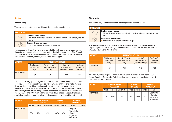#### **Utilities**

#### Water Supply

The community outcomes that this activity primarily contributes to:

| <b>WATER SUPPLY</b>   |                                                                                                                       |  |  |  |  |  |
|-----------------------|-----------------------------------------------------------------------------------------------------------------------|--|--|--|--|--|
|                       | Deafening dawn chorus<br>We are all kaitiaki of our protected and restored incredible environment, flora and<br>fauna |  |  |  |  |  |
| $\mathbb{Z}_{\sigma}$ | <b>Disaster-defying resilience</b><br>> Our infrastructure is as resilient as our people                              |  |  |  |  |  |

The purpose of this activity is to provide reliable, high quality water supplies for domestic and commercial consumers and for fire fighting purposes. The Council has provided water schemes in Queenstown, Arrowtown, Glenorchy, Lake Hayes, Arthurs Point, Wanaka, Hawea, Albert Town and Luggate.

| <b>ACTIVITY</b>     |                                                  | <b>FUNDING PRINCIPLES</b>                                 |                                                    |                                        |  |  |
|---------------------|--------------------------------------------------|-----------------------------------------------------------|----------------------------------------------------|----------------------------------------|--|--|
|                     | Distribution of<br><b>Benefit (user</b><br>pays) | <b>Period of Benefit</b><br>(Intergenerational<br>Equity) | Extent of<br>Action/Inaction<br>(Exacerbator Pays) | Cost/Benefit<br>of Seperate<br>Funding |  |  |
| <b>Water Supply</b> | High                                             | High                                                      | Med                                                | High                                   |  |  |

This activity is largely private good in nature and the Council recognises that the best way of recovering cost would be via volumetric charges and water meters. However, the costs of introducing such a system are seen as prohibitive at present, and this activity will therefore be funded 40% from the Targeted Uniform Rate (Water) which will be charged to all serviceable properties in the nature of a supply charge and 60% from a Targeted Water Rate based on capital value and applied on a scheme basis to all properties connected to the public water supply.

| <b>ACTIVITY</b>     | <b>ECONOMIC BENEFIT</b><br><b>ASSESSMENT</b> |               | <b>FUNDING</b><br><b>TARGETS</b> |         | <b>FUNDING</b><br><b>MECHANISM</b> |                                                                                      |               |
|---------------------|----------------------------------------------|---------------|----------------------------------|---------|------------------------------------|--------------------------------------------------------------------------------------|---------------|
|                     | Private                                      | <b>Public</b> | Exacerbator                      | Private | <b>Public</b>                      | Private                                                                              | <b>Public</b> |
| <b>Water Supply</b> | 90%                                          | 10%           | 0%                               | 100%    | $0\%$                              | Targeted<br><b>Uniform Rate</b><br>(water) $/$<br><b>Targeted CV</b><br>Rate (water) |               |

#### **Stormwater**

The community outcomes that this activity primarily contributes to:

| <b>STORMWATER.</b>     |                                                                                                                       |
|------------------------|-----------------------------------------------------------------------------------------------------------------------|
| $\widehat{\mathbb{R}}$ | Deafening dawn chorus<br>We are all kaitiaki of our protected and restored incredible environment, flora and<br>fauna |
| $\mathbb{Z}_2^3$       | Disaster-defying resilience<br>Our infrastructure is as resilient as our people                                       |

The primary purpose is to provide reliable and efficient stormwater collection and disposal systems from buildings and land in Queenstown, Arrowtown, Glenorchy, Wanaka, Hawea and Albert Town.

| <b>ACTIVITY</b> | <b>FUNDING PRINCIPLES</b>                        |                                                           |                                                    |                                        |  |
|-----------------|--------------------------------------------------|-----------------------------------------------------------|----------------------------------------------------|----------------------------------------|--|
|                 | Distribution of<br><b>Benefit (user</b><br>pays) | <b>Period of Benefit</b><br>(Intergenerational<br>Equity) | Extent of<br>Action/Inaction<br>(Exacerbator Pays) | Cost/Benefit<br>of Seperate<br>Funding |  |
| Stormwater      | Low                                              | Med                                                       | Med                                                | Med                                    |  |

This activity is largely public good in nature and will therefore be funded 100% from a Targeted Stormwater Rate based on capital value and applied on a ward basis to all urban properties.

| <b>ACTIVITY</b> | <b>ECONOMIC BENEFIT</b><br><b>ASSESSMENT</b> |               |             |         | <b>FUNDING.</b><br><b>TARGETS</b> |         | <b>FUNDING</b><br><b>MECHANISM</b>                |  |
|-----------------|----------------------------------------------|---------------|-------------|---------|-----------------------------------|---------|---------------------------------------------------|--|
|                 | Private                                      | <b>Public</b> | Exacerbator | Private | <b>Public</b>                     | Private | <b>Public</b>                                     |  |
| Stormwater      | 0%                                           | 100%          | 0%          | 0%      | 100%                              |         | Stormwater<br>CV Rate/<br>Waterways<br>concession |  |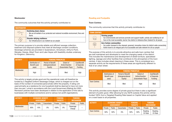#### **Wastewater**

The community outcomes that this activity primarily contributes to:

| <b>WASTEWATER</b> |                                                                                                                                |
|-------------------|--------------------------------------------------------------------------------------------------------------------------------|
|                   | <b>Deafening dawn chorus</b><br>> We are all kaitiaki of our protected and restored incredible environment, flora and<br>fauna |
| ৡ                 | Disaster-defying resilience<br>> Our infrastructure is as resilient as our people                                              |

The primary purpose is to provide reliable and efficient sewage collection, treatment and disposal systems that meet all discharge consent conditions. Sewerage schemes are provided in Queenstown, Arrowtown, Arthur's Point, Wanaka, Hawea, Albert Town and Lake Hayes with feasibility studies underway for Kingston, Glenorchy.

| <b>ACTIVITY</b> |                                           | <b>FUNDING PRINCIPLES</b>                                 |                                                    |                                        |  |  |
|-----------------|-------------------------------------------|-----------------------------------------------------------|----------------------------------------------------|----------------------------------------|--|--|
|                 | Distribution of<br>Benefit (user<br>pays) | <b>Period of Benefit</b><br>(Intergenerational<br>Equity) | Extent of<br>Action/Inaction<br>(Exacerbator Pays) | Cost/Benefit<br>of Seperate<br>Funding |  |  |
| Wastewater      | High                                      | High                                                      | Med                                                | High                                   |  |  |

This activity is largely private good and the operational costs will therefore be funded by a Targeted Uniform Sewerage Charge, which is charged out on the basis of the number of connected pans/urinals within the property. A rating unit used primarily as a residence for one household shall be deemed to have not more than one pan / urinal in accordance with the Local Government (Rating) Act 2002. Remission policies have been developed in relation to the application of this rate to businesses with multiple connections and to various non profit organisations.

| <b>ACTIVITY</b> | <b>ECONOMIC BENEFIT</b><br><b>ASSESSMENT</b> |               | <b>FUNDING</b><br><b>TARGETS</b> |         | <b>FUNDING</b><br><b>MECHANISM</b> |                    |               |
|-----------------|----------------------------------------------|---------------|----------------------------------|---------|------------------------------------|--------------------|---------------|
|                 | Private                                      | <b>Public</b> | Exacerbator                      | Private | <b>Public</b>                      | Private            | <b>Public</b> |
| Wastewater      | 90%                                          | $0\%$         | $0\%$                            | 100%    | $0\%$                              | Sewerage<br>Charge |               |

#### Roading and Footpaths

#### Town Centres

The community outcomes that this activity primarily contributes to:

| <b>TOWN CENTRES</b> |                                                                                                                                                                                                                                  |
|---------------------|----------------------------------------------------------------------------------------------------------------------------------------------------------------------------------------------------------------------------------|
|                     | <b>Thriving people</b><br>> Our environments and services promote and support health, activity and wellbeing for all<br>> Ours is the most accessible, barrier-free district in Aotearoa New Zealand for all people              |
| $\mathbb{Z}$        | <b>Zero Carbon communities</b><br>> Our public transport is the cleanest, greenest, innovative choice for district-wide connectivity<br>> Active travel is an integral part of an accessible and safe network for all our people |

The purpose of this activity is to provide attractive and safe town centres that are well maintained and developed to meet the changing needs of the district. This includes the maintenance and development of street furniture, specialised lighting, signage and other facilities that contribute to the atmosphere of the town centres. It also includes street cleaning in these areas. This is considered as a separate activity as the requirements of these areas are significantly different to that of an urban street.

| <b>ACTIVITY</b>     | <b>FUNDING PRINCIPLES</b>                 |                                                    |                                                    |                                               |  |  |  |
|---------------------|-------------------------------------------|----------------------------------------------------|----------------------------------------------------|-----------------------------------------------|--|--|--|
|                     | Distribution of<br>Benefit (user<br>pays) | Period of Benefit<br>(Intergenerational<br>Equity) | Extent of<br>Action/Inaction<br>(Exacerbator Pays) | Cost/Benefit<br>of Seperate<br><b>Funding</b> |  |  |  |
| <b>Town Centres</b> | Med                                       | Med                                                | High                                               | Med                                           |  |  |  |

This activity provides some degree of private good but there is also a significant element of public good. After allowing for any NZTA subsidy this activity will be funded 100% from a Targeted Roading Rate based on Capital Value and applied on a ward basis to all properties.

| <b>ACTIVITY</b>     | <b>ECONOMIC BENEFIT</b><br><b>ASSESSMENT</b> |               | <b>FUNDING</b><br><b>TARGETS</b> |         | <b>FUNDING</b><br><b>MECHANISM</b> |                           |                    |
|---------------------|----------------------------------------------|---------------|----------------------------------|---------|------------------------------------|---------------------------|--------------------|
|                     | Private                                      | <b>Public</b> | Exacerbator                      | Private | <b>Public</b>                      | Private                   | <b>Public</b>      |
| <b>Town Centres</b> | 50%                                          | 50%           | 0%                               | 50%     | 50%                                | Roading<br><b>CV Rate</b> | Roading<br>CV Rate |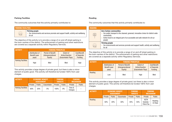#### Parking Facilities

The community outcomes that this activity primarily contributes to:

| <b>PARKING FACILITIES</b> |                                                                                                                       |
|---------------------------|-----------------------------------------------------------------------------------------------------------------------|
| $-682$                    | <b>Thriving people</b><br>Our environments and services promote and support health, activity and wellbeing<br>for all |

The objective of this activity is to provide a range of on and off street parking in the town centres of the district. The enforcement of parking and other restrictions are covered as a separate activity within Regulatory Services.

| <b>ACTIVITY</b>           | <b>FUNDING PRINCIPLES</b>                 |                                                           |                                                    |                                        |  |  |  |
|---------------------------|-------------------------------------------|-----------------------------------------------------------|----------------------------------------------------|----------------------------------------|--|--|--|
|                           | Distribution of<br>Benefit (user<br>pays) | <b>Period of Benefit</b><br>(Intergenerational<br>Equity) | Extent of<br>Action/Inaction<br>(Exacerbator Pays) | Cost/Benefit<br>of Seperate<br>Funding |  |  |  |
| <b>Parking Facilities</b> | High                                      | Med                                                       | Med                                                | High                                   |  |  |  |

This activity provides a large degree of private good, but there is also a minor element of public good. This activity will therefore be funded 100% from user charges.

| <b>ACTIVITY</b>           | <b>ECONOMIC BENEFIT</b><br><b>ASSESSMENT</b> |               | <b>FUNDING</b><br><b>TARGETS</b> |         | <b>FUNDING</b><br><b>MECHANISM</b> |                   |               |
|---------------------------|----------------------------------------------|---------------|----------------------------------|---------|------------------------------------|-------------------|---------------|
|                           | Private                                      | <b>Public</b> | Exacerbator                      | Private | <b>Public</b>                      | Private           | <b>Public</b> |
| <b>Parking Facilities</b> | 80%                                          | 20%           | $0\%$                            | 100%    | $0\%$                              | Fees &<br>Charges |               |

#### Roading

The community outcomes that this activity primarily contributes to:

| <b>ROADING</b> |                                                                                                                                                                                                                                    |
|----------------|------------------------------------------------------------------------------------------------------------------------------------------------------------------------------------------------------------------------------------|
|                | <b>Zero Carbon communities</b><br>Our public transport is the cleanest, greenest, innovative choice for district-wide<br>connectivity<br>Active travel is an integral part of an accessible and safe network for all our<br>people |
|                | <b>Thriving people</b><br>> Our environments and services promote and support health, activity and wellbeing<br>for all                                                                                                            |

The objective of this activity is to provide a range of on and off street parking in the town centres of the district. The enforcement of parking and other restrictions are covered as a separate activity within Regulatory Services.

| <b>ACTIVITY</b> | <b>FUNDING PRINCIPLES</b>                        |                                                           |                                                           |                                               |  |  |  |
|-----------------|--------------------------------------------------|-----------------------------------------------------------|-----------------------------------------------------------|-----------------------------------------------|--|--|--|
|                 | Distribution of<br><b>Benefit (user</b><br>pays) | <b>Period of Benefit</b><br>(Intergenerational<br>Equity) | <b>Extent of</b><br>Action/Inaction<br>(Exacerbator Pays) | Cost/Benefit<br>of Seperate<br><b>Funding</b> |  |  |  |
| Roading         | Low                                              | Med                                                       | High                                                      | Med                                           |  |  |  |

This activity provides a large degree of private good, but there is also a minor element of public good. This activity will therefore be funded 100% from user charges.

| <b>ACTIVITY</b> | <b>ECONOMIC BENEFIT</b><br><b>ASSESSMENT</b> |               | <b>FUNDING</b><br><b>TARGETS</b> |         | <b>FUNDING</b><br><b>MECHANISM</b> |                                 |                           |
|-----------------|----------------------------------------------|---------------|----------------------------------|---------|------------------------------------|---------------------------------|---------------------------|
|                 | Private                                      | <b>Public</b> | Exacerbator                      | Private | <b>Public</b>                      | Private                         | <b>Public</b>             |
| Roading         | 50%                                          | 20%           | 30%                              | 45%     | 55%                                | NZTA<br>Subsidy /<br>Petrol Tax | Roading<br><b>CV Rate</b> |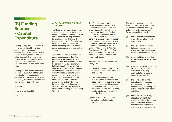## [B] Funding Sources - Capital **Expenditure**

Funding to pay for new assets will come from a mix of borrowing, development or financial contributions, grants and subsidies, capital revenue, reserves and asset sales. Generally the costs of new assets will not be met from rates; however a portion the costs of servicing loans will be funded from rates.

Funding for new capital works will depend on the nature of the work in particular the reasons (cost drivers) which have made the work necessary. There are three main cost drivers recognised by Council:

- > Growth
- > Level of service shift
- > Renewal

#### [A] CAPITAL EXPENDITURE DUE TO GROWTH

The Queenstown Lakes District has experienced significant growth in its resident population, visitors, housing and commercial development and the local economy. This growth generates high levels of subdivision and development activity which places increasing pressure on the assets and services provided by the Council.

Significant investment in additional assets and services is therefore required to meet the demands of growth. The Council intends to fund the portion of capital expenditure that is attributable to growth from development contributions wherever it is reasonable to do so. In cases, where Council is unable to fund the construction of new infrastructure to support growth within optimal timeframes, Council will look to accelerate the delivery through the use of third party financing as provided for under new legislation Infrastructure Funding and Financing Act (IFF).

The Council considers that development contributions are the best mechanism available to ensure the cost of growth (net of any external funding) is funded by those who have created the need for that cost. The Council considers it inappropriate to burden the community as a whole, by way of rating or other payment means, to meet the cost of growth. The Council has adopted a Policy on Development Contributions (DC Policy) as part of the Ten Year Plan since 2004. This is updated on a three yearly basis.

Types of assets included in the DC Policy are:

- > Network infrastructure for water supplies, wastewater, stormwater and roading.
- > Community infrastructure including the development and acquisition of reserve land to use as reserve and facilities needed on that reserve and other public amenities such as halls, libraries, public toilets, parking facilities and the like.

Section 101(3) of the LGA 2002 requires that the following be considered:

The funding needs of the local authority must be met from those sources that the local authority determines to be appropriate, following consideration of:

- (i) the community outcomes to which the activity primarily contributes.
- (ii) the distribution of benefits between the community as a whole, any identifiable part of the community and individuals.
- (iii) the period in or over which those benefits are expected to occur.
- (iv) the extent to which the actions or inaction of particular individuals or a group contribute to the need to undertake the activity.
- (v) the costs and benefits, including consequences for transparency and accountability, of funding the activity distinctly from other activities.
- (vi) the overall impact of any allocation of liability for revenue needs on the current and future social, economic, environmental and cultural wellbeing of the community.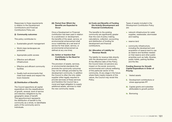Responses to these requirements in relation to the Development Contributions and Financial Contributions Policy are:

#### (i) Community outcomes

This policy contributes to:

- > Sustainable growth management
- > World class landscapes are protected
- > Appropriate public access
- > Effective and efficient infrastructure
- > Effective and efficient community facilities
- > Quality built environments that meet local needs and respect the local character.

#### (ii) Distribution of Benefits

The Council apportions all capital expenditure into the classifications of growth, renewal, level of service and statutory obligations by the geographic areas of benefit. This apportionment represents the distribution of benefit to the community as a whole, to identifiable parts of the community and to individuals.

(iii) Period Over Which the Benefits are Expected to **Occur** 

Once a Development or Financial contribution has been paid in relation to a subdivision or development, the benefits of the asset, service, or environmental enhancement shall occur indefinitely (at a set level of service for that asset, service, or environmental enhancement as defined at any one time).

(iv) Action or Inaction that Contributes to the Need for this Activity

The provision of assets, services, or environmental standards that promote the community outcomes may not be willingly provided by the development community. In addition the Council is often the only viable supplier (often legally required to provide services) of these services and therefore the Council has a moral and legal obligation to supply additional assets, services to meet the new community needs.

#### (v) Costs and Benefits of Funding this Activity (Development and Financial Contributions)

The benefits to the existing community are significantly greater than the cost of policy making, calculations, collection, accounting and distribution of funding for development and financial contributions.

#### (iv) Allocation of Liability for Revenue Needs

The liability for revenue falls directly with the development community. At the effective date of this Policy, the Council does not perceive any impact on the social, economic, environmental and cultural wellbeing of this particular sector of the community. At any stage in the future where there maybe impacts of this nature, the Council may revisit this Policy.

Types of assets included in the Development Contribution Policy are:

- > network infrastructure for water supplies, wastewater, stormwater and roading
- > reserve land
- > community infrastructure, including the development and acquisition of reserve land to use as reserve and facilities needed on that reserve and other public amenities such as halls, libraries, public toilets, parking facilities and the like.

#### Funding Sources for Growth Capital Expenditure in Order of Priority:

- i. Vested assets
- ii. Development contributions or where appropriate IFF
- iii. Capital grants and subsidies attributable to growth portion
- iv. Borrowing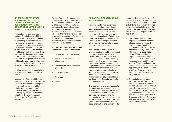#### [B] CAPITAL EXPENDITURE DUE TO SHIFTS IN LEVELS OF SERVICE, STATUTORY REQUIREMENTS OR OTHER REASONS BUT NOT INCLUDING GROWTH OR RENEWALS

The cost driver for a significant portion of capital works within the Queenstown Lakes District relates to increasing of levels of service for the community. Sometimes these improvements to levels of service are required because of changes to legislation or resource consent conditions, which means that there is often little discretion with regard to the decision. An example of this would be the requirement to provide additional water treatment facilities as a result of the introduction of new Water Treatment Standards.

In other cases, the increase in level of service is a community driven decision.

An example of this would be the construction of Aquatic Centres. The Council's approach to funding for this type of capital expenditure is to initially apply for grants from national and local funding organisations and to apply the proceeds of land sales from the Commonage in Queenstown or Scurr Heights in Wanaka.

Funding from the Commonage in Queenstown is restricted by statute to be applied for the benefit of the Old Queenstown Borough for the purposes of water and sewerage upgrades. Proceeds from Scurr Heights land in Wanaka is restricted for use to the Wanaka ward and can be applied to variety of infrastructure purposes including water, wastewater, roading or community (recreational) purposes.

#### Funding Sources for Other Capital Expenditure in Order of Priority:

- i. Capital grants and subsidies
- ii. Visitor Levy (to cover the visitor related portion)
- **iii.** Capital revenues and asset sale proceeds
- iv. Capital reserves
- v. Borrowing
- vi. Rates

#### **[C] CAPITAL EXPENDITURE DUE** TO RENEWALS

Renewal capital works are those capital expenditure costs that are incurred in restoring an asset to previous service levels, usually reflected in the amount that an asset has depreciated. Therefore by using those depreciation funds the Council is attempting to maintain infrastructural networks to at least their existing service level.

The funding of depreciation is an implied requirement of the 'balanced budget' provision of the Local Government Act. It requires that the Council fully fund all operating costs, including reductions in the useful life or quality of assets. The requirement arises from Government concern that some local authorities were not adequately maintaining infrastructural assets. In instances where this occurred, current ratepayers were paying too little and leaving a major financial burden for future generations.

The Council has provided adequately for asset renewal in recent years. A major effort has been made over the past decade or so to address deferred maintenance and the budgets have provided appropriately for the renewal of infrastructure. The Council now has far more reliable asset information and a much better

understanding of the life cycle of its assets. The Act provides a more flexible approach in the requirement to fully fund depreciation. This has allowed some flexibility which the Council has taken advantage of in four key areas in preparing the Ten Year Plan.

- i. The Council needs to fund depreciation only on its share of roading expenditure. The component attributable to NZTA should not be funded as the NZTA subsidy funds this. Allowing for all subsidisable costs, 32% of roading depreciation will be funded in 2021/22 (2018/19 - 53%). This increases to around 39% by year 10. There is no impact on current levels of service from this approach, as the cash collected over the 10 years will fully fund the local share of renewal programmes.
- **ii.** Depreciation on community facilities may not need to be funded as they are often funded by non-Council sources and will never be replaced in the same form at the end of their useful life. Depreciation on halls, libraries, and other facilities (including the Queenstown Events Centre and Wanaka Recreation Centre) will therefore not be funded.